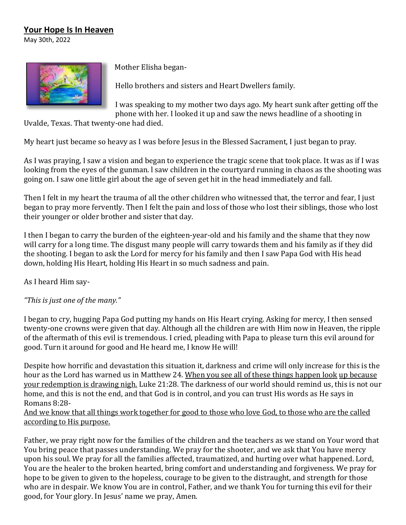## **Your Hope Is In Heaven**

May 30th, 2022



Mother Elisha began-

Hello brothers and sisters and Heart Dwellers family.

I was speaking to my mother two days ago. My heart sunk after getting off the phone with her. I looked it up and saw the news headline of a shooting in

Uvalde, Texas. That twenty-one had died.

My heart just became so heavy as I was before Jesus in the Blessed Sacrament, I just began to pray.

As I was praying, I saw a vision and began to experience the tragic scene that took place. It was as if I was looking from the eyes of the gunman. l saw children in the courtyard running in chaos as the shooting was going on. I saw one little girl about the age of seven get hit in the head immediately and fall.

Then I felt in my heart the trauma of all the other children who witnessed that, the terror and fear, I just began to pray more fervently. Then I felt the pain and loss of those who lost their siblings, those who lost their younger or older brother and sister that day.

I then I began to carry the burden of the eighteen-year-old and his family and the shame that they now will carry for a long time. The disgust many people will carry towards them and his family as if they did the shooting. I began to ask the Lord for mercy for his family and then I saw Papa God with His head down, holding His Heart, holding His Heart in so much sadness and pain.

As I heard Him say-

*"This is just one of the many."*

I began to cry, hugging Papa God putting my hands on His Heart crying. Asking for mercy, I then sensed twenty-one crowns were given that day. Although all the children are with Him now in Heaven, the ripple of the aftermath of this evil is tremendous. I cried, pleading with Papa to please turn this evil around for good. Turn it around for good and He heard me, I know He will!

Despite how horrific and devastation this situation it, darkness and crime will only increase for this is the hour as the Lord has warned us in Matthew 24. When you see all of these things happen look up because your redemption is drawing nigh. Luke 21:28. The darkness of our world should remind us, this is not our home, and this is not the end, and that God is in control, and you can trust His words as He says in Romans 8:28-

And we know that all things work together for good to those who love God, to those who are the called according to His purpose.

Father, we pray right now for the families of the children and the teachers as we stand on Your word that You bring peace that passes understanding. We pray for the shooter, and we ask that You have mercy upon his soul. We pray for all the families affected, traumatized, and hurting over what happened. Lord, You are the healer to the broken hearted, bring comfort and understanding and forgiveness. We pray for hope to be given to given to the hopeless, courage to be given to the distraught, and strength for those who are in despair. We know You are in control, Father, and we thank You for turning this evil for their good, for Your glory. In Jesus' name we pray, Amen.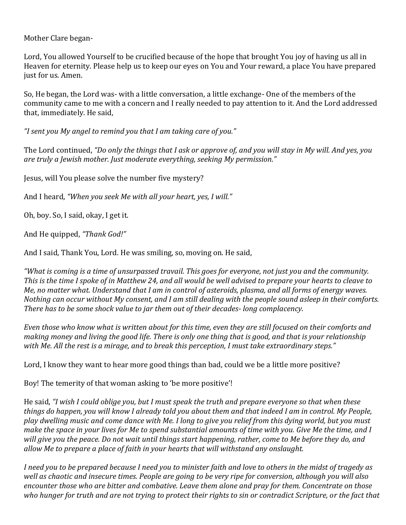Mother Clare began-

Lord, You allowed Yourself to be crucified because of the hope that brought You joy of having us all in Heaven for eternity. Please help us to keep our eyes on You and Your reward, a place You have prepared just for us. Amen.

So, He began, the Lord was- with a little conversation, a little exchange- One of the members of the community came to me with a concern and I really needed to pay attention to it. And the Lord addressed that, immediately. He said,

*"I sent you My angel to remind you that I am taking care of you."*

The Lord continued, *"Do only the things that I ask or approve of, and you will stay in My will. And yes, you are truly a Jewish mother. Just moderate everything, seeking My permission."*

Jesus, will You please solve the number five mystery?

And I heard, *"When you seek Me with all your heart, yes, I will."*

Oh, boy. So, I said, okay, I get it.

And He quipped, *"Thank God!"*

And I said, Thank You, Lord. He was smiling, so, moving on. He said,

*"What is coming is a time of unsurpassed travail. This goes for everyone, not just you and the community. This is the time I spoke of in Matthew 24, and all would be well advised to prepare your hearts to cleave to Me, no matter what. Understand that I am in control of asteroids, plasma, and all forms of energy waves. Nothing can occur without My consent, and I am still dealing with the people sound asleep in their comforts. There has to be some shock value to jar them out of their decades- long complacency.* 

*Even those who know what is written about for this time, even they are still focused on their comforts and making money and living the good life. There is only one thing that is good, and that is your relationship with Me. All the rest is a mirage, and to break this perception, I must take extraordinary steps."*

Lord, I know they want to hear more good things than bad, could we be a little more positive?

Boy! The temerity of that woman asking to 'be more positive'!

He said, *"I wish I could oblige you, but I must speak the truth and prepare everyone so that when these things do happen, you will know I already told you about them and that indeed I am in control. My People, play dwelling music and come dance with Me. I long to give you relief from this dying world, but you must make the space in your lives for Me to spend substantial amounts of time with you. Give Me the time, and I will give you the peace. Do not wait until things start happening, rather, come to Me before they do, and allow Me to prepare a place of faith in your hearts that will withstand any onslaught.* 

*I need you to be prepared because I need you to minister faith and love to others in the midst of tragedy as well as chaotic and insecure times. People are going to be very ripe for conversion, although you will also encounter those who are bitter and combative. Leave them alone and pray for them. Concentrate on those who hunger for truth and are not trying to protect their rights to sin or contradict Scripture, or the fact that*